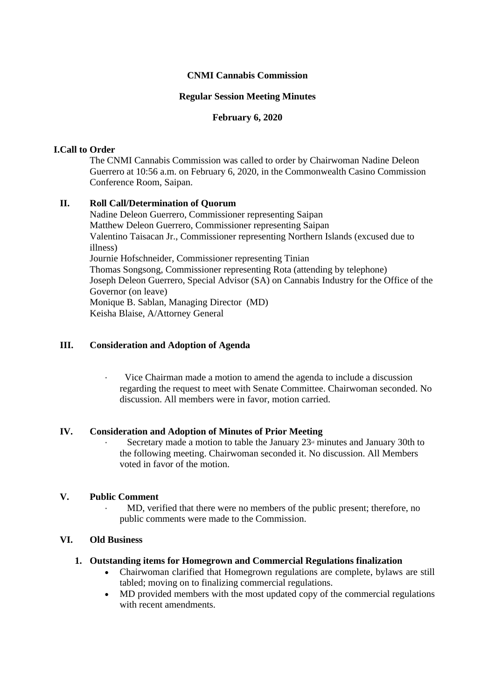## **CNMI Cannabis Commission**

### **Regular Session Meeting Minutes**

### **February 6, 2020**

### **I.Call to Order**

The CNMI Cannabis Commission was called to order by Chairwoman Nadine Deleon Guerrero at 10:56 a.m. on February 6, 2020, in the Commonwealth Casino Commission Conference Room, Saipan.

## **II. Roll Call/Determination of Quorum**

Nadine Deleon Guerrero, Commissioner representing Saipan Matthew Deleon Guerrero, Commissioner representing Saipan Valentino Taisacan Jr., Commissioner representing Northern Islands (excused due to illness) Journie Hofschneider, Commissioner representing Tinian Thomas Songsong, Commissioner representing Rota (attending by telephone) Joseph Deleon Guerrero, Special Advisor (SA) on Cannabis Industry for the Office of the Governor (on leave) Monique B. Sablan, Managing Director (MD) Keisha Blaise, A/Attorney General

### **III. Consideration and Adoption of Agenda**

Vice Chairman made a motion to amend the agenda to include a discussion regarding the request to meet with Senate Committee. Chairwoman seconded. No discussion. All members were in favor, motion carried.

#### **IV. Consideration and Adoption of Minutes of Prior Meeting**

Secretary made a motion to table the January  $23<sup>d</sup>$  minutes and January 30th to the following meeting. Chairwoman seconded it. No discussion. All Members voted in favor of the motion.

## **V. Public Comment**

· MD, verified that there were no members of the public present; therefore, no public comments were made to the Commission.

## **VI. Old Business**

#### **1. Outstanding items for Homegrown and Commercial Regulations finalization**

- Chairwoman clarified that Homegrown regulations are complete, bylaws are still tabled; moving on to finalizing commercial regulations.
- MD provided members with the most updated copy of the commercial regulations with recent amendments.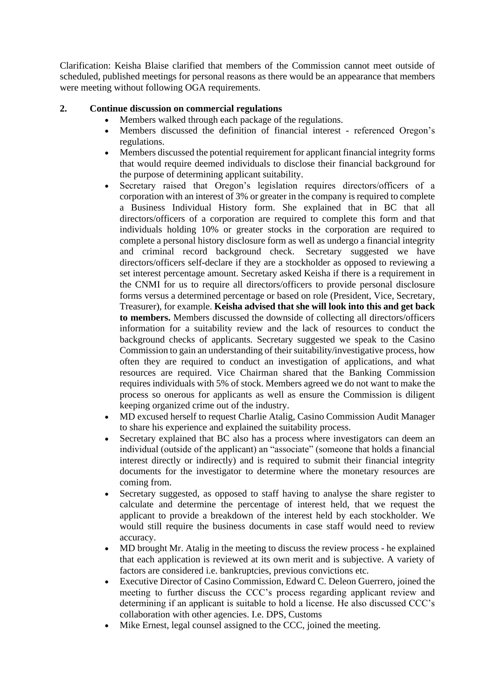Clarification: Keisha Blaise clarified that members of the Commission cannot meet outside of scheduled, published meetings for personal reasons as there would be an appearance that members were meeting without following OGA requirements.

# **2. Continue discussion on commercial regulations**

- Members walked through each package of the regulations.
- Members discussed the definition of financial interest referenced Oregon's regulations.
- Members discussed the potential requirement for applicant financial integrity forms that would require deemed individuals to disclose their financial background for the purpose of determining applicant suitability.
- Secretary raised that Oregon's legislation requires directors/officers of a corporation with an interest of 3% or greater in the company is required to complete a Business Individual History form. She explained that in BC that all directors/officers of a corporation are required to complete this form and that individuals holding 10% or greater stocks in the corporation are required to complete a personal history disclosure form as well as undergo a financial integrity and criminal record background check. Secretary suggested we have directors/officers self-declare if they are a stockholder as opposed to reviewing a set interest percentage amount. Secretary asked Keisha if there is a requirement in the CNMI for us to require all directors/officers to provide personal disclosure forms versus a determined percentage or based on role (President, Vice, Secretary, Treasurer), for example. **Keisha advised that she will look into this and get back to members.** Members discussed the downside of collecting all directors/officers information for a suitability review and the lack of resources to conduct the background checks of applicants. Secretary suggested we speak to the Casino Commission to gain an understanding of their suitability/investigative process, how often they are required to conduct an investigation of applications, and what resources are required. Vice Chairman shared that the Banking Commission requires individuals with 5% of stock. Members agreed we do not want to make the process so onerous for applicants as well as ensure the Commission is diligent keeping organized crime out of the industry.
- MD excused herself to request Charlie Atalig, Casino Commission Audit Manager to share his experience and explained the suitability process.
- Secretary explained that BC also has a process where investigators can deem an individual (outside of the applicant) an "associate" (someone that holds a financial interest directly or indirectly) and is required to submit their financial integrity documents for the investigator to determine where the monetary resources are coming from.
- Secretary suggested, as opposed to staff having to analyse the share register to calculate and determine the percentage of interest held, that we request the applicant to provide a breakdown of the interest held by each stockholder. We would still require the business documents in case staff would need to review accuracy.
- MD brought Mr. Atalig in the meeting to discuss the review process he explained that each application is reviewed at its own merit and is subjective. A variety of factors are considered i.e. bankruptcies, previous convictions etc.
- Executive Director of Casino Commission, Edward C. Deleon Guerrero, joined the meeting to further discuss the CCC's process regarding applicant review and determining if an applicant is suitable to hold a license. He also discussed CCC's collaboration with other agencies. I.e. DPS, Customs
- Mike Ernest, legal counsel assigned to the CCC, joined the meeting.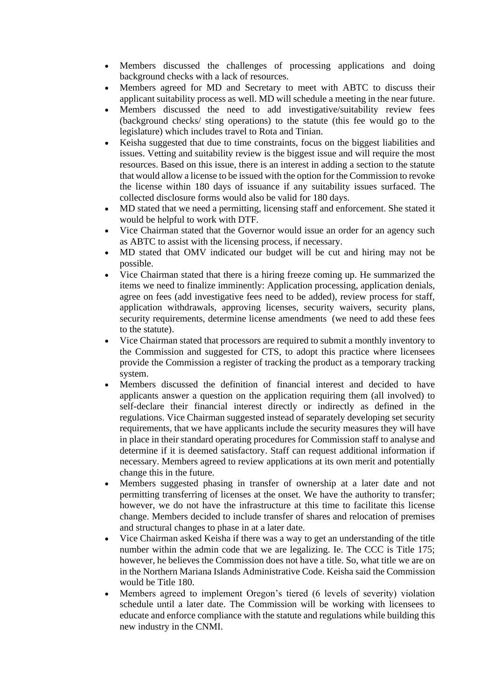- Members discussed the challenges of processing applications and doing background checks with a lack of resources.
- Members agreed for MD and Secretary to meet with ABTC to discuss their applicant suitability process as well. MD will schedule a meeting in the near future.
- Members discussed the need to add investigative/suitability review fees (background checks/ sting operations) to the statute (this fee would go to the legislature) which includes travel to Rota and Tinian.
- Keisha suggested that due to time constraints, focus on the biggest liabilities and issues. Vetting and suitability review is the biggest issue and will require the most resources. Based on this issue, there is an interest in adding a section to the statute that would allow a license to be issued with the option for the Commission to revoke the license within 180 days of issuance if any suitability issues surfaced. The collected disclosure forms would also be valid for 180 days.
- MD stated that we need a permitting, licensing staff and enforcement. She stated it would be helpful to work with DTF.
- Vice Chairman stated that the Governor would issue an order for an agency such as ABTC to assist with the licensing process, if necessary.
- MD stated that OMV indicated our budget will be cut and hiring may not be possible.
- Vice Chairman stated that there is a hiring freeze coming up. He summarized the items we need to finalize imminently: Application processing, application denials, agree on fees (add investigative fees need to be added), review process for staff, application withdrawals, approving licenses, security waivers, security plans, security requirements, determine license amendments (we need to add these fees to the statute).
- Vice Chairman stated that processors are required to submit a monthly inventory to the Commission and suggested for CTS, to adopt this practice where licensees provide the Commission a register of tracking the product as a temporary tracking system.
- Members discussed the definition of financial interest and decided to have applicants answer a question on the application requiring them (all involved) to self-declare their financial interest directly or indirectly as defined in the regulations. Vice Chairman suggested instead of separately developing set security requirements, that we have applicants include the security measures they will have in place in their standard operating procedures for Commission staff to analyse and determine if it is deemed satisfactory. Staff can request additional information if necessary. Members agreed to review applications at its own merit and potentially change this in the future.
- Members suggested phasing in transfer of ownership at a later date and not permitting transferring of licenses at the onset. We have the authority to transfer; however, we do not have the infrastructure at this time to facilitate this license change. Members decided to include transfer of shares and relocation of premises and structural changes to phase in at a later date.
- Vice Chairman asked Keisha if there was a way to get an understanding of the title number within the admin code that we are legalizing. Ie. The CCC is Title 175; however, he believes the Commission does not have a title. So, what title we are on in the Northern Mariana Islands Administrative Code. Keisha said the Commission would be Title 180.
- Members agreed to implement Oregon's tiered (6 levels of severity) violation schedule until a later date. The Commission will be working with licensees to educate and enforce compliance with the statute and regulations while building this new industry in the CNMI.